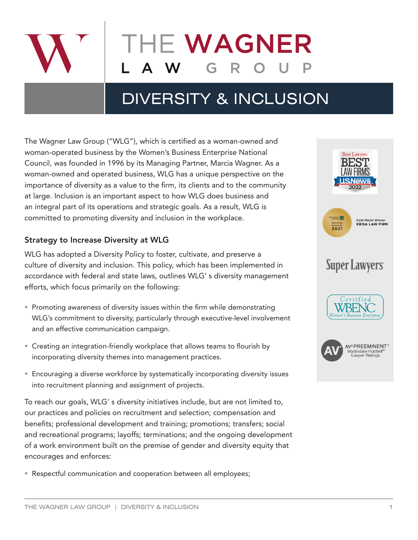

# **HE WAGNER**

# DIVERSITY & INCLUSION

The Wagner Law Group ("WLG"), which is certified as a woman-owned and woman-operated business by the Women's Business Enterprise National Council, was founded in 1996 by its Managing Partner, Marcia Wagner. As a woman-owned and operated business, WLG has a unique perspective on the importance of diversity as a value to the firm, its clients and to the community at large. Inclusion is an important aspect to how WLG does business and an integral part of its operations and strategic goals. As a result, WLG is committed to promoting diversity and inclusion in the workplace.

## Strategy to Increase Diversity at WLG

WLG has adopted a Diversity Policy to foster, cultivate, and preserve a culture of diversity and inclusion. This policy, which has been implemented in accordance with federal and state laws, outlines WLG' s diversity management efforts, which focus primarily on the following:

- **Promoting awareness of diversity issues within the firm while demonstrating** WLG's commitment to diversity, particularly through executive-level involvement and an effective communication campaign.
- Creating an integration-friendly workplace that allows teams to flourish by incorporating diversity themes into management practices.
- Encouraging a diverse workforce by systematically incorporating diversity issues into recruitment planning and assignment of projects.

To reach our goals, WLG' s diversity initiatives include, but are not limited to, our practices and policies on recruitment and selection; compensation and benefits; professional development and training; promotions; transfers; social and recreational programs; layoffs; terminations; and the ongoing development of a work environment built on the premise of gender and diversity equity that encourages and enforces:

**Respectful communication and cooperation between all employees;** 

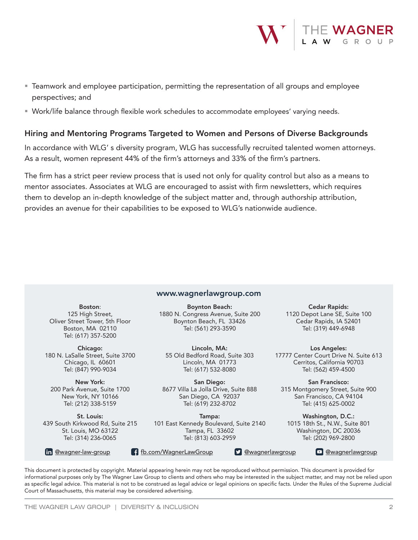

- Teamwork and employee participation, permitting the representation of all groups and employee perspectives; and
- Work/life balance through flexible work schedules to accommodate employees' varying needs.

### Hiring and Mentoring Programs Targeted to Women and Persons of Diverse Backgrounds

In accordance with WLG' s diversity program, WLG has successfully recruited talented women attorneys. As a result, women represent 44% of the firm's attorneys and 33% of the firm's partners.

The firm has a strict peer review process that is used not only for quality control but also as a means to mentor associates. Associates at WLG are encouraged to assist with firm newsletters, which requires them to develop an in-depth knowledge of the subject matter and, through authorship attribution, provides an avenue for their capabilities to be exposed to WLG's nationwide audience.

#### www.wagnerlawgroup.com

Boston: 125 High Street, Oliver Street Tower, 5th Floor Boston, MA 02110 Tel: (617) 357-5200

Chicago: 180 N. LaSalle Street, Suite 3700 Chicago, IL 60601 Tel: (847) 990-9034

New York: 200 Park Avenue, Suite 1700 New York, NY 10166 Tel: (212) 338-5159

St. Louis: 439 South Kirkwood Rd, Suite 215 St. Louis, MO 63122 Tel: (314) 236-0065

Boynton Beach: 1880 N. Congress Avenue, Suite 200 Boynton Beach, FL 33426 Tel: (561) 293-3590

Lincoln, MA: 55 Old Bedford Road, Suite 303 Lincoln, MA 01773 Tel: (617) 532-8080

San Diego: 8677 Villa La Jolla Drive, Suite 888 San Diego, CA 92037 Tel: (619) 232-8702

Tampa: 101 East Kennedy Boulevard, Suite 2140 Tampa, FL 33602 Tel: (813) 603-2959

Cedar Rapids: 1120 Depot Lane SE, Suite 100 Cedar Rapids, IA 52401 Tel: (319) 449-6948

Los Angeles: 17777 Center Court Drive N. Suite 613 Cerritos, California 90703 Tel: (562) 459-4500

San Francisco: 315 Montgomery Street, Suite 900 San Francisco, CA 94104 Tel: (415) 625-0002

Washington, D.C.: 1015 18th St., N.W., Suite 801 Washington, DC 20036 Tel: (202) 969-2800

in @wagner-law-group f fb.com/WagnerLawGroup

**D** @wagnerlawgroup **D** @wagnerlawgroup

This document is protected by copyright. Material appearing herein may not be reproduced without permission. This document is provided for informational purposes only by The Wagner Law Group to clients and others who may be interested in the subject matter, and may not be relied upon as specific legal advice. This material is not to be construed as legal advice or legal opinions on specific facts. Under the Rules of the Supreme Judicial Court of Massachusetts, this material may be considered advertising.